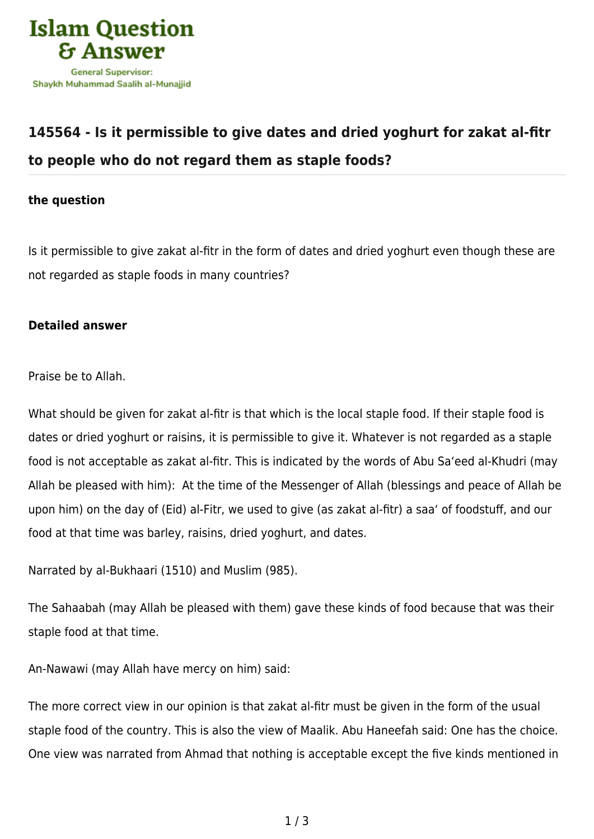

## **[145564 - Is it permissible to give dates and dried yoghurt for zakat al-fitr](https://islamqa.com/en/answers/145564/is-it-permissible-to-give-dates-and-dried-yoghurt-for-zakat-al-fitr-to-people-who-do-not-regard-them-as-staple-foods) [to people who do not regard them as staple foods?](https://islamqa.com/en/answers/145564/is-it-permissible-to-give-dates-and-dried-yoghurt-for-zakat-al-fitr-to-people-who-do-not-regard-them-as-staple-foods)**

## **the question**

Is it permissible to give zakat al-fitr in the form of dates and dried yoghurt even though these are not regarded as staple foods in many countries?

## **Detailed answer**

Praise be to Allah.

What should be given for zakat al-fitr is that which is the local staple food. If their staple food is dates or dried yoghurt or raisins, it is permissible to give it. Whatever is not regarded as a staple food is not acceptable as zakat al-fitr. This is indicated by the words of Abu Sa'eed al-Khudri (may Allah be pleased with him): At the time of the Messenger of Allah (blessings and peace of Allah be upon him) on the day of (Eid) al-Fitr, we used to give (as zakat al-fitr) a saa' of foodstuff, and our food at that time was barley, raisins, dried yoghurt, and dates.

```
Narrated by al-Bukhaari (1510) and Muslim (985).
```
The Sahaabah (may Allah be pleased with them) gave these kinds of food because that was their staple food at that time.

An-Nawawi (may Allah have mercy on him) said:

The more correct view in our opinion is that zakat al-fitr must be given in the form of the usual staple food of the country. This is also the view of Maalik. Abu Haneefah said: One has the choice. One view was narrated from Ahmad that nothing is acceptable except the five kinds mentioned in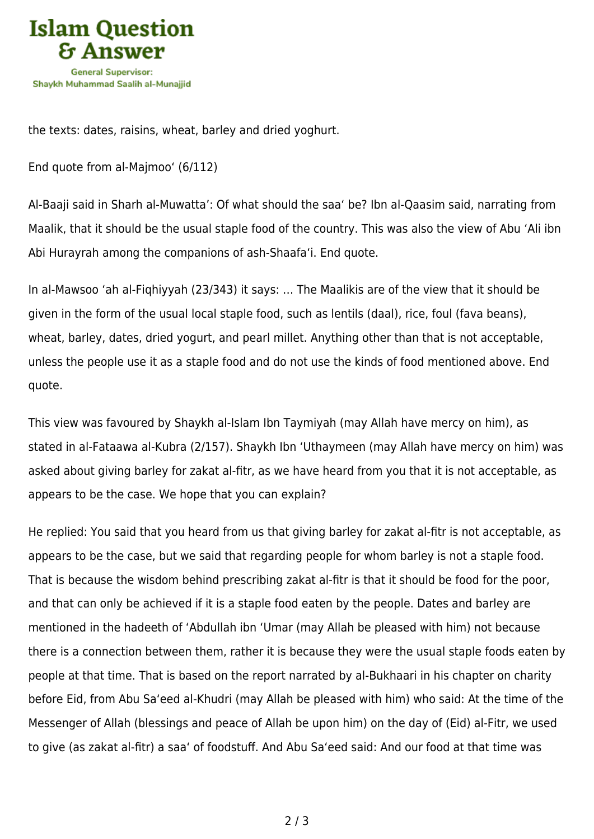

the texts: dates, raisins, wheat, barley and dried yoghurt.

End quote from al-Majmoo' (6/112)

Al-Baaji said in Sharh al-Muwatta': Of what should the saa' be? Ibn al-Qaasim said, narrating from Maalik, that it should be the usual staple food of the country. This was also the view of Abu 'Ali ibn Abi Hurayrah among the companions of ash-Shaafa'i. End quote.

In al-Mawsoo 'ah al-Fiqhiyyah (23/343) it says: … The Maalikis are of the view that it should be given in the form of the usual local staple food, such as lentils (daal), rice, foul (fava beans), wheat, barley, dates, dried yogurt, and pearl millet. Anything other than that is not acceptable, unless the people use it as a staple food and do not use the kinds of food mentioned above. End quote.

This view was favoured by Shaykh al-Islam Ibn Taymiyah (may Allah have mercy on him), as stated in al-Fataawa al-Kubra (2/157). Shaykh Ibn 'Uthaymeen (may Allah have mercy on him) was asked about giving barley for zakat al-fitr, as we have heard from you that it is not acceptable, as appears to be the case. We hope that you can explain?

He replied: You said that you heard from us that giving barley for zakat al-fitr is not acceptable, as appears to be the case, but we said that regarding people for whom barley is not a staple food. That is because the wisdom behind prescribing zakat al-fitr is that it should be food for the poor, and that can only be achieved if it is a staple food eaten by the people. Dates and barley are mentioned in the hadeeth of 'Abdullah ibn 'Umar (may Allah be pleased with him) not because there is a connection between them, rather it is because they were the usual staple foods eaten by people at that time. That is based on the report narrated by al-Bukhaari in his chapter on charity before Eid, from Abu Sa'eed al-Khudri (may Allah be pleased with him) who said: At the time of the Messenger of Allah (blessings and peace of Allah be upon him) on the day of (Eid) al-Fitr, we used to give (as zakat al-fitr) a saa' of foodstuff. And Abu Sa'eed said: And our food at that time was